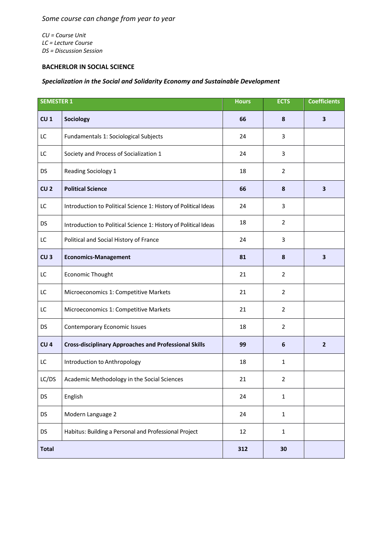*Some course can change from year to year*

*CU = Course Unit LC = Lecture Course DS = Discussion Session*

## **BACHERLOR IN SOCIAL SCIENCE**

## *Specialization in the Social and Solidarity Economy and Sustainable Development*

| <b>SEMESTER 1</b> |                                                                 | <b>Hours</b> | <b>ECTS</b>     | <b>Coefficients</b>     |
|-------------------|-----------------------------------------------------------------|--------------|-----------------|-------------------------|
| CU <sub>1</sub>   | Sociology                                                       | 66           | 8               | $\overline{\mathbf{3}}$ |
| LC                | Fundamentals 1: Sociological Subjects                           | 24           | 3               |                         |
| LC                | Society and Process of Socialization 1                          | 24           | 3               |                         |
| <b>DS</b>         | Reading Sociology 1                                             | 18           | $\overline{2}$  |                         |
| CU <sub>2</sub>   | <b>Political Science</b>                                        | 66           | 8               | 3                       |
| LC                | Introduction to Political Science 1: History of Political Ideas | 24           | 3               |                         |
| <b>DS</b>         | Introduction to Political Science 1: History of Political Ideas | 18           | $\overline{2}$  |                         |
| LC                | Political and Social History of France                          | 24           | 3               |                         |
| CU <sub>3</sub>   | <b>Economics-Management</b>                                     | 81           | 8               | $\overline{\mathbf{3}}$ |
| LC                | <b>Economic Thought</b>                                         | 21           | $\overline{2}$  |                         |
| LC                | Microeconomics 1: Competitive Markets                           | 21           | $\overline{2}$  |                         |
| LC                | Microeconomics 1: Competitive Markets                           | 21           | $\overline{2}$  |                         |
| <b>DS</b>         | <b>Contemporary Economic Issues</b>                             | 18           | 2               |                         |
| CU <sub>4</sub>   | <b>Cross-disciplinary Approaches and Professional Skills</b>    | 99           | $6\phantom{1}6$ | $\mathbf{2}$            |
| LC                | Introduction to Anthropology                                    | 18           | $\mathbf{1}$    |                         |
| LC/DS             | Academic Methodology in the Social Sciences                     | 21           | $\overline{2}$  |                         |
| <b>DS</b>         | English                                                         | 24           | $\mathbf{1}$    |                         |
| <b>DS</b>         | Modern Language 2                                               | 24           | $\mathbf 1$     |                         |
| <b>DS</b>         | Habitus: Building a Personal and Professional Project           | 12           | $\mathbf{1}$    |                         |
| <b>Total</b>      |                                                                 | 312          | 30              |                         |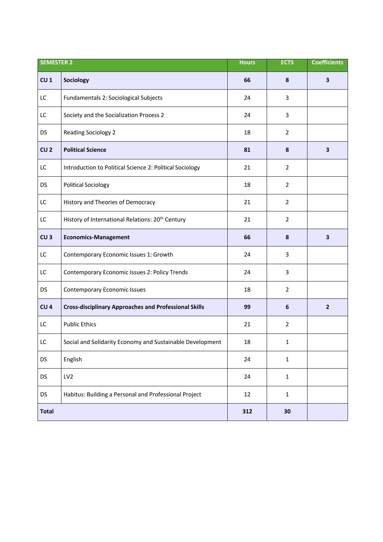| <b>SEMESTER 2</b> |                                                              | <b>Hours</b> | <b>ECTS</b>    | <b>Coefficients</b>     |
|-------------------|--------------------------------------------------------------|--------------|----------------|-------------------------|
| CU <sub>1</sub>   | Sociology                                                    | 66           | 8              | $\overline{\mathbf{3}}$ |
| LC                | Fundamentals 2: Sociological Subjects                        | 24           | 3              |                         |
| LC                | Society and the Socialization Process 2                      | 24           | 3              |                         |
| <b>DS</b>         | <b>Reading Sociology 2</b>                                   | 18           | $\overline{2}$ |                         |
| CU <sub>2</sub>   | <b>Political Science</b>                                     | 81           | 8              | 3                       |
| LC                | Introduction to Political Science 2: Political Sociology     | 21           | $\overline{2}$ |                         |
| <b>DS</b>         | <b>Political Sociology</b>                                   | 18           | $\overline{2}$ |                         |
| LC                | History and Theories of Democracy                            | 21           | $\overline{2}$ |                         |
| LC                | History of International Relations: 20 <sup>th</sup> Century | 21           | $\overline{2}$ |                         |
| CU <sub>3</sub>   | <b>Economics-Management</b>                                  | 66           | 8              | $\overline{\mathbf{3}}$ |
| LC                | Contemporary Economic Issues 1: Growth                       | 24           | 3              |                         |
| LC                | Contemporary Economic Issues 2: Policy Trends                | 24           | 3              |                         |
| <b>DS</b>         | <b>Contemporary Economic Issues</b>                          | 18           | $\overline{2}$ |                         |
| CU <sub>4</sub>   | <b>Cross-disciplinary Approaches and Professional Skills</b> | 99           | 6              | $\overline{2}$          |
| LC                | <b>Public Ethics</b>                                         | 21           | $\overline{2}$ |                         |
| LC                | Social and Solidarity Economy and Sustainable Development    | 18           | 1              |                         |
| <b>DS</b>         | English                                                      | 24           | $\mathbf 1$    |                         |
| DS                | LV <sub>2</sub>                                              | 24           | $\mathbf{1}$   |                         |
| <b>DS</b>         | Habitus: Building a Personal and Professional Project        | 12           | $\mathbf{1}$   |                         |
| <b>Total</b>      |                                                              | 312          | 30             |                         |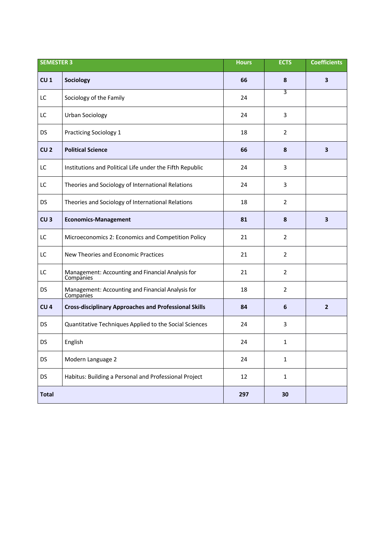| <b>SEMESTER 3</b> |                                                                | <b>Hours</b> | <b>ECTS</b>    | <b>Coefficients</b>     |
|-------------------|----------------------------------------------------------------|--------------|----------------|-------------------------|
| CU <sub>1</sub>   | Sociology                                                      | 66           | 8              | 3                       |
| LC                | Sociology of the Family                                        | 24           | 3              |                         |
| LC                | <b>Urban Sociology</b>                                         | 24           | 3              |                         |
| DS                | <b>Practicing Sociology 1</b>                                  | 18           | $\overline{2}$ |                         |
| CU <sub>2</sub>   | <b>Political Science</b>                                       | 66           | 8              | 3                       |
| LC                | Institutions and Political Life under the Fifth Republic       | 24           | 3              |                         |
| LC                | Theories and Sociology of International Relations              | 24           | 3              |                         |
| <b>DS</b>         | Theories and Sociology of International Relations              | 18           | $\overline{2}$ |                         |
| CU <sub>3</sub>   | <b>Economics-Management</b>                                    | 81           | 8              | $\overline{\mathbf{3}}$ |
| LC                | Microeconomics 2: Economics and Competition Policy             | 21           | 2              |                         |
| LC                | New Theories and Economic Practices                            | 21           | 2              |                         |
| LC                | Management: Accounting and Financial Analysis for<br>Companies | 21           | $\overline{2}$ |                         |
| <b>DS</b>         | Management: Accounting and Financial Analysis for<br>Companies | 18           | $\overline{2}$ |                         |
| CU <sub>4</sub>   | <b>Cross-disciplinary Approaches and Professional Skills</b>   | 84           | 6              | $\overline{2}$          |
| <b>DS</b>         | Quantitative Techniques Applied to the Social Sciences         | 24           | 3              |                         |
| DS                | English                                                        | 24           | 1              |                         |
| <b>DS</b>         | Modern Language 2                                              | 24           | $\mathbf{1}$   |                         |
| <b>DS</b>         | Habitus: Building a Personal and Professional Project          | 12           | $\mathbf{1}$   |                         |
| <b>Total</b>      |                                                                | 297          | 30             |                         |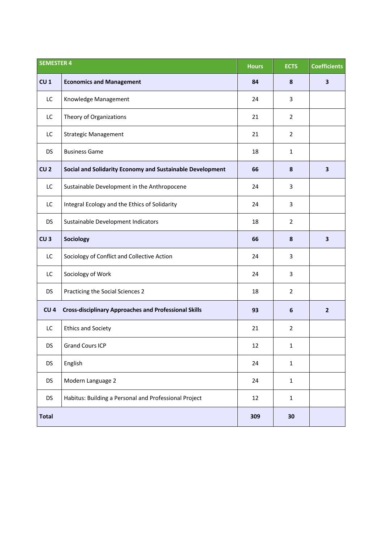| <b>SEMESTER 4</b> |                                                              | <b>Hours</b> | <b>ECTS</b>    | <b>Coefficients</b>     |
|-------------------|--------------------------------------------------------------|--------------|----------------|-------------------------|
| CU <sub>1</sub>   | <b>Economics and Management</b>                              | 84           | 8              | 3                       |
| LC                | Knowledge Management                                         | 24           | 3              |                         |
| LC                | Theory of Organizations                                      | 21           | $\overline{2}$ |                         |
| LC                | <b>Strategic Management</b>                                  | 21           | $\overline{2}$ |                         |
| <b>DS</b>         | <b>Business Game</b>                                         | 18           | 1              |                         |
| CU <sub>2</sub>   | Social and Solidarity Economy and Sustainable Development    | 66           | 8              | $\overline{\mathbf{3}}$ |
| LC                | Sustainable Development in the Anthropocene                  | 24           | 3              |                         |
| LC                | Integral Ecology and the Ethics of Solidarity                | 24           | 3              |                         |
| <b>DS</b>         | Sustainable Development Indicators                           | 18           | $\overline{2}$ |                         |
| CU <sub>3</sub>   | Sociology                                                    | 66           | 8              | 3                       |
| LC                | Sociology of Conflict and Collective Action                  | 24           | 3              |                         |
| LC                | Sociology of Work                                            | 24           | 3              |                         |
| <b>DS</b>         | Practicing the Social Sciences 2                             | 18           | 2              |                         |
| CU <sub>4</sub>   | <b>Cross-disciplinary Approaches and Professional Skills</b> | 93           | 6              | $\mathbf{2}$            |
| LC                | <b>Ethics and Society</b>                                    | 21           | $\overline{2}$ |                         |
| DS                | <b>Grand Cours ICP</b>                                       | 12           | 1              |                         |
| <b>DS</b>         | English                                                      | 24           | $\mathbf{1}$   |                         |
| <b>DS</b>         | Modern Language 2                                            | 24           | $\mathbf{1}$   |                         |
| <b>DS</b>         | Habitus: Building a Personal and Professional Project        | 12           | $\mathbf{1}$   |                         |
| <b>Total</b>      |                                                              | 309          | 30             |                         |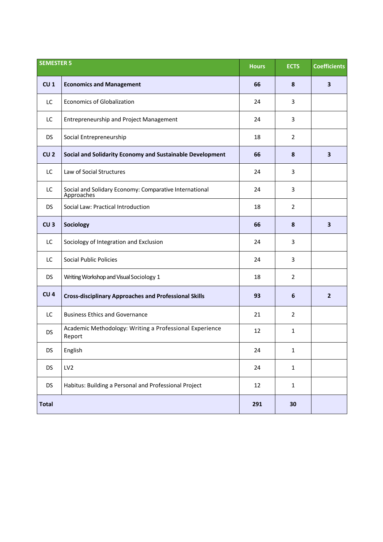| <b>SEMESTER 5</b> |                                                                      | <b>Hours</b> | <b>ECTS</b>    | <b>Coefficients</b>     |
|-------------------|----------------------------------------------------------------------|--------------|----------------|-------------------------|
| CU <sub>1</sub>   | <b>Economics and Management</b>                                      | 66           | 8              | $\overline{\mathbf{3}}$ |
| LC                | <b>Economics of Globalization</b>                                    | 24           | 3              |                         |
| LC                | <b>Entrepreneurship and Project Management</b>                       | 24           | 3              |                         |
| <b>DS</b>         | Social Entrepreneurship                                              | 18           | 2              |                         |
| CU <sub>2</sub>   | Social and Solidarity Economy and Sustainable Development            | 66           | 8              | $\overline{\mathbf{3}}$ |
| LC                | Law of Social Structures                                             | 24           | 3              |                         |
| LC                | Social and Solidary Economy: Comparative International<br>Approaches | 24           | 3              |                         |
| <b>DS</b>         | Social Law: Practical Introduction                                   | 18           | $\overline{2}$ |                         |
| CU <sub>3</sub>   | Sociology                                                            | 66           | 8              | $\overline{\mathbf{3}}$ |
| LC                | Sociology of Integration and Exclusion                               | 24           | 3              |                         |
| LC                | <b>Social Public Policies</b>                                        | 24           | 3              |                         |
| <b>DS</b>         | Writing Workshop and Visual Sociology 1                              | 18           | $\overline{2}$ |                         |
| CU <sub>4</sub>   | <b>Cross-disciplinary Approaches and Professional Skills</b>         | 93           | 6              | $\overline{2}$          |
| LC                | <b>Business Ethics and Governance</b>                                | 21           | $\overline{2}$ |                         |
| <b>DS</b>         | Academic Methodology: Writing a Professional Experience<br>Report    | 12           | $\mathbf{1}$   |                         |
| <b>DS</b>         | English                                                              | 24           | $\mathbf 1$    |                         |
| <b>DS</b>         | LV <sub>2</sub>                                                      | 24           | $\mathbf{1}$   |                         |
| <b>DS</b>         | Habitus: Building a Personal and Professional Project                | 12           | $\mathbf{1}$   |                         |
| <b>Total</b>      |                                                                      | 291          | 30             |                         |